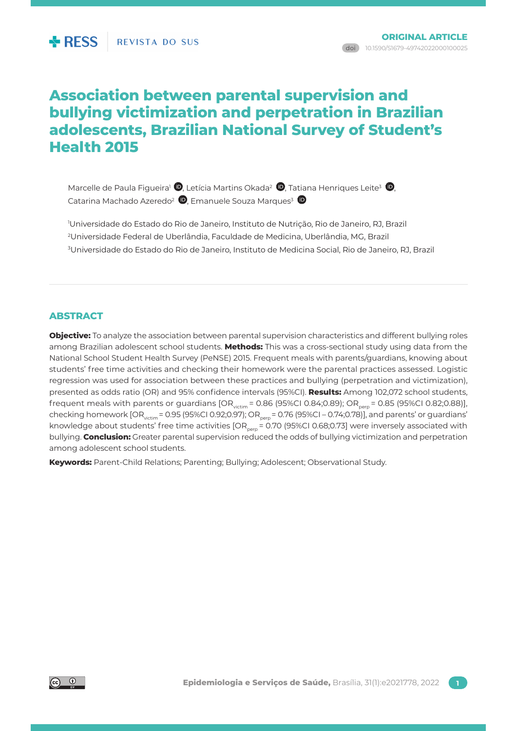# **Association between parental supervision and bullying victimization and perpetration in Brazilian adolescents, Brazilian National Survey of Student's Health 2015**

Marcelle de Paula Figueira<sup>1</sup>  $\bm{\mathbb{D}}$ [,](http://orcid.org/0000-0002-2861-4480) Letícia Martins Okada<sup>2</sup>  $\bm{\mathbb{D}}$ [,](http://orcid.org/0000-0001-7947-2112) Tatiana Henriques Leite<sup>3</sup>  $\bm{\mathbb{D}}$ , Catarina Machado Azeredo<sup>2</sup> (D, Emanuele Souza Marques<sup>3</sup>

1 Universidade do Estado do Rio de Janeiro, Instituto de Nutrição, Rio de Janeiro, RJ, Brazil 2 Universidade Federal de Uberlândia, Faculdade de Medicina, Uberlândia, MG, Brazil 3 Universidade do Estado do Rio de Janeiro, Instituto de Medicina Social, Rio de Janeiro, RJ, Brazil

## **ABSTRACT**

**Objective:** To analyze the association between parental supervision characteristics and different bullying roles among Brazilian adolescent school students. **Methods:** This was a cross-sectional study using data from the National School Student Health Survey (PeNSE) 2015. Frequent meals with parents/guardians, knowing about students' free time activities and checking their homework were the parental practices assessed. Logistic regression was used for association between these practices and bullying (perpetration and victimization), presented as odds ratio (OR) and 95% confidence intervals (95%CI). **Results:** Among 102,072 school students, frequent meals with parents or guardians  $[OR_{\text{victim}} = 0.86 (95\% CI 0.84; 0.89); OR_{\text{perp}} = 0.85 (95\% CI 0.82; 0.88)],$ checking homework  $[OR_{\text{victim}} = 0.95$  (95%CI 0.92;0.97); OR<sub>perp</sub> = 0.76 (95%CI – 0.74;0.78)], and parents' or guardians' knowledge about students' free time activities  $[OR_{nem} = 0.70$  (95%CI 0.68;0.73] were inversely associated with bullying. **Conclusion:** Greater parental supervision reduced the odds of bullying victimization and perpetration among adolescent school students.

**Keywords:** Parent-Child Relations; Parenting; Bullying; Adolescent; Observational Study.

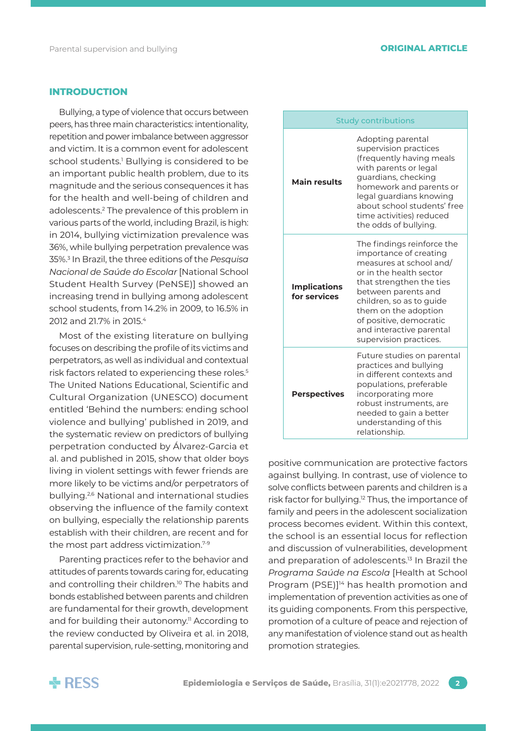### **INTRODUCTION**

Bullying, a type of violence that occurs between peers, has three main characteristics: intentionality, repetition and power imbalance between aggressor and victim. It is a common event for adolescent school students.<sup>1</sup> Bullying is considered to be an important public health problem, due to its magnitude and the serious consequences it has for the health and well-being of children and adolescents.2 The prevalence of this problem in various parts of the world, including Brazil, is high: in 2014, bullying victimization prevalence was 36%, while bullying perpetration prevalence was 35%.3 In Brazil, the three editions of the *Pesquisa Nacional de Saúde do Escolar* [National School Student Health Survey (PeNSE)] showed an increasing trend in bullying among adolescent school students, from 14.2% in 2009, to 16.5% in 2012 and 21.7% in 2015.4

Most of the existing literature on bullying focuses on describing the profile of its victims and perpetrators, as well as individual and contextual risk factors related to experiencing these roles.<sup>5</sup> The United Nations Educational, Scientific and Cultural Organization (UNESCO) document entitled 'Behind the numbers: ending school violence and bullying' published in 2019, and the systematic review on predictors of bullying perpetration conducted by Álvarez-Garcia et al. and published in 2015, show that older boys living in violent settings with fewer friends are more likely to be victims and/or perpetrators of bullying.2,6 National and international studies observing the influence of the family context on bullying, especially the relationship parents establish with their children, are recent and for the most part address victimization.7-9

Parenting practices refer to the behavior and attitudes of parents towards caring for, educating and controlling their children.<sup>10</sup> The habits and bonds established between parents and children are fundamental for their growth, development and for building their autonomy.<sup>11</sup> According to the review conducted by Oliveira et al. in 2018, parental supervision, rule-setting, monitoring and

| <b>Study contributions</b>          |                                                                                                                                                                                                                                                                                                    |  |  |  |
|-------------------------------------|----------------------------------------------------------------------------------------------------------------------------------------------------------------------------------------------------------------------------------------------------------------------------------------------------|--|--|--|
| <b>Main results</b>                 | Adopting parental<br>supervision practices<br>(frequently having meals<br>with parents or legal<br>guardians, checking<br>homework and parents or<br>legal guardians knowing<br>about school students' free<br>time activities) reduced<br>the odds of bullying.                                   |  |  |  |
| <b>Implications</b><br>for services | The findings reinforce the<br>importance of creating<br>measures at school and/<br>or in the health sector<br>that strengthen the ties<br>between parents and<br>children, so as to guide<br>them on the adoption<br>of positive, democratic<br>and interactive parental<br>supervision practices. |  |  |  |
| <b>Perspectives</b>                 | Future studies on parental<br>practices and bullying<br>in different contexts and<br>populations, preferable<br>incorporating more<br>robust instruments, are<br>needed to gain a better<br>understanding of this<br>relationship.                                                                 |  |  |  |

positive communication are protective factors against bullying. In contrast, use of violence to solve conflicts between parents and children is a risk factor for bullying.12 Thus, the importance of family and peers in the adolescent socialization process becomes evident. Within this context, the school is an essential locus for reflection and discussion of vulnerabilities, development and preparation of adolescents.<sup>13</sup> In Brazil the *Programa Saúde na Escola* [Health at School Program (PSE)]<sup>14</sup> has health promotion and implementation of prevention activities as one of its guiding components. From this perspective, promotion of a culture of peace and rejection of any manifestation of violence stand out as health promotion strategies.

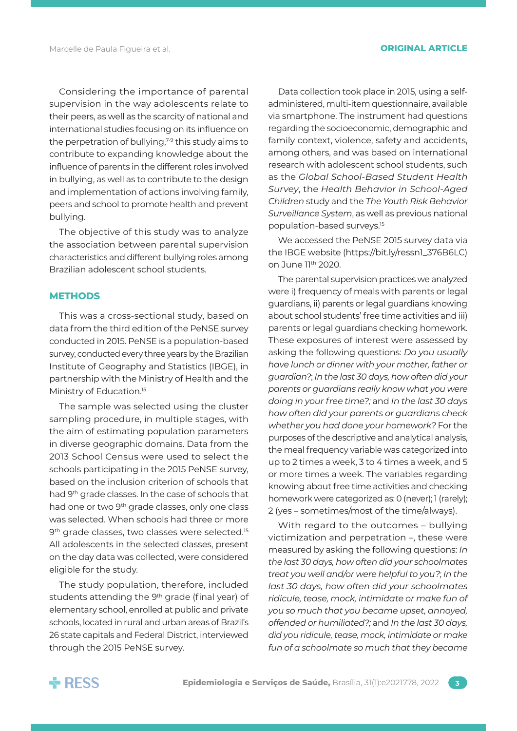Marcelle de Paula Figueira et al. **ORIGINAL ARTICLE**

Considering the importance of parental supervision in the way adolescents relate to their peers, as well as the scarcity of national and international studies focusing on its influence on the perpetration of bullying, $7-9$  this study aims to contribute to expanding knowledge about the influence of parents in the different roles involved in bullying, as well as to contribute to the design and implementation of actions involving family, peers and school to promote health and prevent bullying.

The objective of this study was to analyze the association between parental supervision characteristics and different bullying roles among Brazilian adolescent school students.

### **METHODS**

This was a cross-sectional study, based on data from the third edition of the PeNSE survey conducted in 2015. PeNSE is a population-based survey, conducted every three years by the Brazilian Institute of Geography and Statistics (IBGE), in partnership with the Ministry of Health and the Ministry of Education.<sup>15</sup>

The sample was selected using the cluster sampling procedure, in multiple stages, with the aim of estimating population parameters in diverse geographic domains. Data from the 2013 School Census were used to select the schools participating in the 2015 PeNSE survey, based on the inclusion criterion of schools that had 9th grade classes. In the case of schools that had one or two 9<sup>th</sup> grade classes, only one class was selected. When schools had three or more 9<sup>th</sup> grade classes, two classes were selected.<sup>15</sup> All adolescents in the selected classes, present on the day data was collected, were considered eligible for the study.

The study population, therefore, included students attending the 9<sup>th</sup> grade (final year) of elementary school, enrolled at public and private schools, located in rural and urban areas of Brazil's 26 state capitals and Federal District, interviewed through the 2015 PeNSE survey.

Data collection took place in 2015, using a selfadministered, multi-item questionnaire, available via smartphone. The instrument had questions regarding the socioeconomic, demographic and family context, violence, safety and accidents, among others, and was based on international research with adolescent school students, such as the *Global School-Based Student Health Survey*, the *Health Behavior in School-Aged Children* study and the *The Youth Risk Behavior Surveillance System*, as well as previous national population-based surveys.15

We accessed the PeNSE 2015 survey data via the IBGE website (https://bit.ly/ressn1\_376B6LC) on June 11th 2020.

The parental supervision practices we analyzed were i) frequency of meals with parents or legal guardians, ii) parents or legal guardians knowing about school students' free time activities and iii) parents or legal guardians checking homework. These exposures of interest were assessed by asking the following questions: *Do you usually have lunch or dinner with your mother, father or guardian?*; *In the last 30 days, how often did your parents or guardians really know what you were doing in your free time?;* and *In the last 30 days how often did your parents or guardians check whether you had done your homework?* For the purposes of the descriptive and analytical analysis, the meal frequency variable was categorized into up to 2 times a week, 3 to 4 times a week, and 5 or more times a week. The variables regarding knowing about free time activities and checking homework were categorized as: 0 (never); 1 (rarely); 2 (yes – sometimes/most of the time/always).

With regard to the outcomes – bullying victimization and perpetration –, these were measured by asking the following questions: *In the last 30 days, how often did your schoolmates treat you well and/or were helpful to you?*; *In the last 30 days, how often did your schoolmates ridicule, tease, mock, intimidate or make fun of you so much that you became upset, annoyed, offended or humiliated?;* and *In the last 30 days, did you ridicule, tease, mock, intimidate or make fun of a schoolmate so much that they became* 

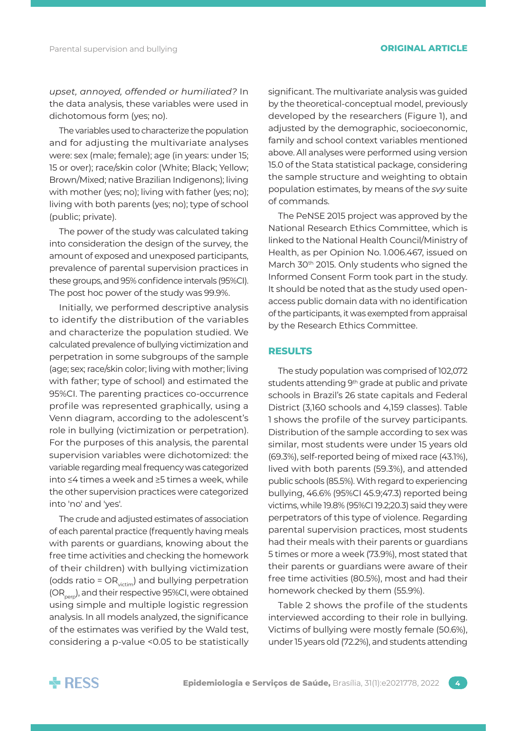*upset, annoyed, offended or humiliated?* In the data analysis, these variables were used in dichotomous form (yes; no).

The variables used to characterize the population and for adjusting the multivariate analyses were: sex (male; female); age (in years: under 15; 15 or over); race/skin color (White; Black; Yellow; Brown/Mixed; native Brazilian Indigenons); living with mother (yes; no); living with father (yes; no); living with both parents (yes; no); type of school (public; private).

The power of the study was calculated taking into consideration the design of the survey, the amount of exposed and unexposed participants, prevalence of parental supervision practices in these groups, and 95% confidence intervals (95%CI). The post hoc power of the study was 99.9%.

Initially, we performed descriptive analysis to identify the distribution of the variables and characterize the population studied. We calculated prevalence of bullying victimization and perpetration in some subgroups of the sample (age; sex; race/skin color; living with mother; living with father; type of school) and estimated the 95%CI. The parenting practices co-occurrence profile was represented graphically, using a Venn diagram, according to the adolescent's role in bullying (victimization or perpetration). For the purposes of this analysis, the parental supervision variables were dichotomized: the variable regarding meal frequency was categorized into ≤4 times a week and ≥5 times a week, while the other supervision practices were categorized into 'no' and 'yes'.

The crude and adjusted estimates of association of each parental practice (frequently having meals with parents or guardians, knowing about the free time activities and checking the homework of their children) with bullying victimization (odds ratio =  $OR_{\text{victim}}$ ) and bullying perpetration (OR<sub>perp</sub>), and their respective 95%CI, were obtained using simple and multiple logistic regression analysis. In all models analyzed, the significance of the estimates was verified by the Wald test, considering a p-value <0.05 to be statistically significant. The multivariate analysis was guided by the theoretical-conceptual model, previously developed by the researchers (Figure 1), and adjusted by the demographic, socioeconomic, family and school context variables mentioned above. All analyses were performed using version 15.0 of the Stata statistical package, considering the sample structure and weighting to obtain population estimates, by means of the *svy* suite of commands.

The PeNSE 2015 project was approved by the National Research Ethics Committee, which is linked to the National Health Council/Ministry of Health, as per Opinion No. 1.006.467, issued on March 30<sup>th</sup> 2015. Only students who signed the Informed Consent Form took part in the study. It should be noted that as the study used openaccess public domain data with no identification of the participants, it was exempted from appraisal by the Research Ethics Committee.

### **RESULTS**

The study population was comprised of 102,072 students attending 9<sup>th</sup> grade at public and private schools in Brazil's 26 state capitals and Federal District (3,160 schools and 4,159 classes). Table 1 shows the profile of the survey participants. Distribution of the sample according to sex was similar, most students were under 15 years old (69.3%), self-reported being of mixed race (43.1%), lived with both parents (59.3%), and attended public schools (85.5%). With regard to experiencing bullying, 46.6% (95%CI 45.9;47.3) reported being victims, while 19.8% (95%CI 19.2;20.3) said they were perpetrators of this type of violence. Regarding parental supervision practices, most students had their meals with their parents or guardians 5 times or more a week (73.9%), most stated that their parents or guardians were aware of their free time activities (80.5%), most and had their homework checked by them (55.9%).

Table 2 shows the profile of the students interviewed according to their role in bullying. Victims of bullying were mostly female (50.6%), under 15 years old (72.2%), and students attending

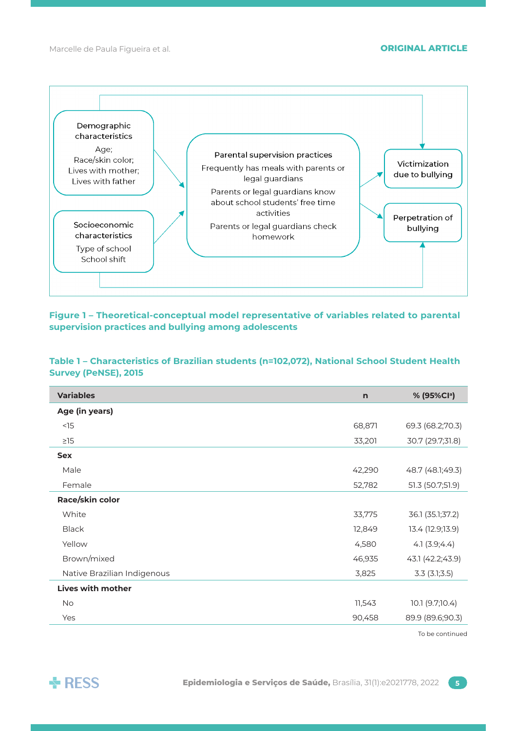Marcelle de Paula Figueira et al. **ORIGINAL ARTICLE**



**Figure 1 – Theoretical-conceptual model representative of variables related to parental supervision practices and bullying among adolescents**

## **Table 1 – Characteristics of Brazilian students (n=102,072), National School Student Health Survey (PeNSE), 2015**

| Age (in years)<br>$<$ 15<br>68,871<br>69.3 (68.2;70.3)<br>33,201<br>30.7 (29.7;31.8)<br>$\geq$ 15<br><b>Sex</b><br>Male<br>42,290<br>48.7 (48.1;49.3)<br>Female<br>52,782<br>51.3 (50.7;51.9)<br>Race/skin color<br>White<br>33,775<br>36.1 (35.1;37.2)<br><b>Black</b><br>12,849<br>13.4 (12.9;13.9)<br>Yellow<br>4,580<br>4.1(3.9; 4.4)<br>Brown/mixed<br>46,935<br>43.1 (42.2;43.9)<br>3,825<br>Native Brazilian Indigenous<br>$3.3$ $(3.1;3.5)$<br><b>Lives with mother</b><br><b>No</b><br>11,543<br>10.1 (9.7;10.4)<br>90,458<br>89.9 (89.6;90.3)<br>Yes | <b>Variables</b> | $\mathsf{n}$ | % (95%Cl <sup>a</sup> ) |
|----------------------------------------------------------------------------------------------------------------------------------------------------------------------------------------------------------------------------------------------------------------------------------------------------------------------------------------------------------------------------------------------------------------------------------------------------------------------------------------------------------------------------------------------------------------|------------------|--------------|-------------------------|
|                                                                                                                                                                                                                                                                                                                                                                                                                                                                                                                                                                |                  |              |                         |
|                                                                                                                                                                                                                                                                                                                                                                                                                                                                                                                                                                |                  |              |                         |
|                                                                                                                                                                                                                                                                                                                                                                                                                                                                                                                                                                |                  |              |                         |
|                                                                                                                                                                                                                                                                                                                                                                                                                                                                                                                                                                |                  |              |                         |
|                                                                                                                                                                                                                                                                                                                                                                                                                                                                                                                                                                |                  |              |                         |
|                                                                                                                                                                                                                                                                                                                                                                                                                                                                                                                                                                |                  |              |                         |
|                                                                                                                                                                                                                                                                                                                                                                                                                                                                                                                                                                |                  |              |                         |
|                                                                                                                                                                                                                                                                                                                                                                                                                                                                                                                                                                |                  |              |                         |
|                                                                                                                                                                                                                                                                                                                                                                                                                                                                                                                                                                |                  |              |                         |
|                                                                                                                                                                                                                                                                                                                                                                                                                                                                                                                                                                |                  |              |                         |
|                                                                                                                                                                                                                                                                                                                                                                                                                                                                                                                                                                |                  |              |                         |
|                                                                                                                                                                                                                                                                                                                                                                                                                                                                                                                                                                |                  |              |                         |
|                                                                                                                                                                                                                                                                                                                                                                                                                                                                                                                                                                |                  |              |                         |
|                                                                                                                                                                                                                                                                                                                                                                                                                                                                                                                                                                |                  |              |                         |
|                                                                                                                                                                                                                                                                                                                                                                                                                                                                                                                                                                |                  |              |                         |

To be continued

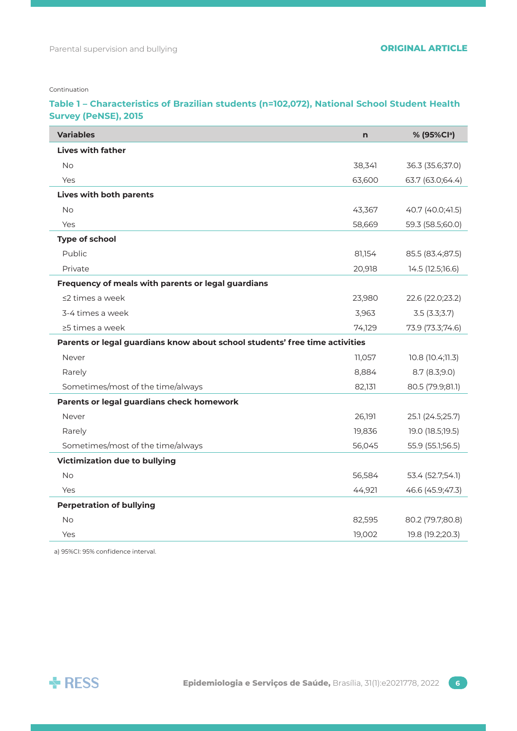Continuation

## **Table 1 – Characteristics of Brazilian students (n=102,072), National School Student Health Survey (PeNSE), 2015**

| <b>Variables</b>                                                            | n      | % (95%Cla)       |
|-----------------------------------------------------------------------------|--------|------------------|
| <b>Lives with father</b>                                                    |        |                  |
| <b>No</b>                                                                   | 38,341 | 36.3 (35.6;37.0) |
| Yes                                                                         | 63,600 | 63.7 (63.0;64.4) |
| Lives with both parents                                                     |        |                  |
| <b>No</b>                                                                   | 43,367 | 40.7 (40.0;41.5) |
| Yes                                                                         | 58,669 | 59.3 (58.5;60.0) |
| <b>Type of school</b>                                                       |        |                  |
| Public                                                                      | 81,154 | 85.5 (83.4;87.5) |
| Private                                                                     | 20,918 | 14.5 (12.5;16.6) |
| Frequency of meals with parents or legal guardians                          |        |                  |
| $\leq$ 2 times a week                                                       | 23,980 | 22.6 (22.0;23.2) |
| 3-4 times a week                                                            | 3,963  | 3.5(3.3;3.7)     |
| ≥5 times a week                                                             | 74,129 | 73.9 (73.3;74.6) |
| Parents or legal guardians know about school students' free time activities |        |                  |
| Never                                                                       | 11,057 | 10.8 (10.4;11.3) |
| Rarely                                                                      | 8,884  | 8.7 (8.3;9.0)    |
| Sometimes/most of the time/always                                           | 82,131 | 80.5 (79.9;81.1) |
| Parents or legal guardians check homework                                   |        |                  |
| Never                                                                       | 26,191 | 25.1 (24.5;25.7) |
| Rarely                                                                      | 19,836 | 19.0 (18.5;19.5) |
| Sometimes/most of the time/always                                           | 56,045 | 55.9 (55.1;56.5) |
| <b>Victimization due to bullying</b>                                        |        |                  |
| <b>No</b>                                                                   | 56,584 | 53.4 (52.7;54.1) |
| Yes                                                                         | 44,921 | 46.6 (45.9;47.3) |
| <b>Perpetration of bullying</b>                                             |        |                  |
| <b>No</b>                                                                   | 82,595 | 80.2 (79.7;80.8) |
| Yes                                                                         | 19,002 | 19.8 (19.2;20.3) |

a) 95%CI: 95% confidence interval.

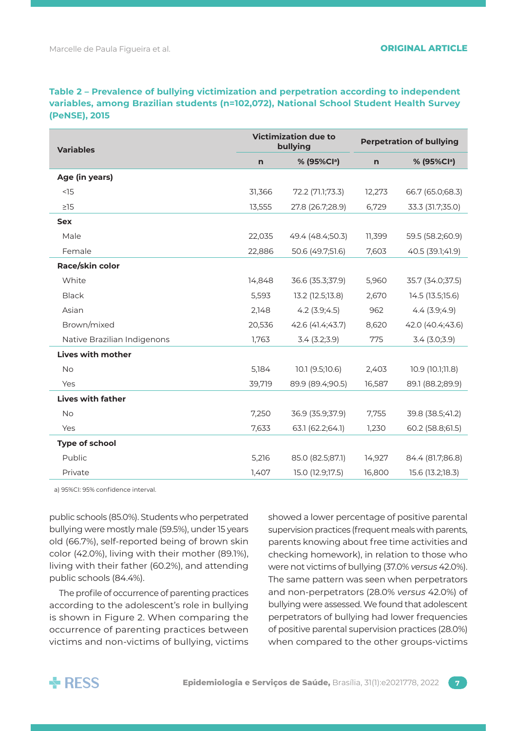**Table 2 – Prevalence of bullying victimization and perpetration according to independent variables, among Brazilian students (n=102,072), National School Student Health Survey (PeNSE), 2015**

| <b>Variables</b>            |        | <b>Victimization due to</b><br>bullying | <b>Perpetration of bullying</b> |                         |  |
|-----------------------------|--------|-----------------------------------------|---------------------------------|-------------------------|--|
|                             | n      | % (95%Cla)                              | n                               | % (95%Cl <sup>a</sup> ) |  |
| Age (in years)              |        |                                         |                                 |                         |  |
| <15                         | 31,366 | 72.2 (71.1;73.3)                        | 12,273                          | 66.7 (65.0;68.3)        |  |
| $\geq$ 15                   | 13,555 | 27.8 (26.7;28.9)                        | 6,729                           | 33.3 (31.7;35.0)        |  |
| <b>Sex</b>                  |        |                                         |                                 |                         |  |
| Male                        | 22,035 | 49.4 (48.4;50.3)                        | 11,399                          | 59.5 (58.2;60.9)        |  |
| Female                      | 22,886 | 50.6 (49.7;51.6)                        | 7,603                           | 40.5 (39.1;41.9)        |  |
| Race/skin color             |        |                                         |                                 |                         |  |
| White                       | 14,848 | 36.6 (35.3;37.9)                        | 5,960                           | 35.7 (34.0;37.5)        |  |
| <b>Black</b>                | 5,593  | 13.2 (12.5;13.8)                        | 2,670                           | 14.5 (13.5;15.6)        |  |
| Asian                       | 2,148  | $4.2$ (3.9;4.5)                         | 962                             | 4.4(3.9;4.9)            |  |
| Brown/mixed                 | 20,536 | 42.6 (41.4;43.7)                        | 8,620                           | 42.0 (40.4;43.6)        |  |
| Native Brazilian Indigenons | 1,763  | 3.4(3.2;3.9)                            | 775                             | $3.4$ ( $3.0;3.9$ )     |  |
| <b>Lives with mother</b>    |        |                                         |                                 |                         |  |
| No                          | 5,184  | 10.1 (9.5;10.6)                         | 2,403                           | 10.9 (10.1;11.8)        |  |
| Yes                         | 39,719 | 89.9 (89.4;90.5)                        | 16,587                          | 89.1 (88.2;89.9)        |  |
| <b>Lives with father</b>    |        |                                         |                                 |                         |  |
| <b>No</b>                   | 7,250  | 36.9 (35.9;37.9)                        | 7,755                           | 39.8 (38.5;41.2)        |  |
| Yes                         | 7,633  | 63.1 (62.2;64.1)                        | 1,230                           | 60.2 (58.8;61.5)        |  |
| Type of school              |        |                                         |                                 |                         |  |
| Public                      | 5,216  | 85.0 (82.5;87.1)                        | 14,927                          | 84.4 (81.7;86.8)        |  |
| Private                     | 1,407  | 15.0 (12.9;17.5)                        | 16,800                          | 15.6 (13.2;18.3)        |  |

a) 95%CI: 95% confidence interval.

public schools (85.0%). Students who perpetrated bullying were mostly male (59.5%), under 15 years old (66.7%), self-reported being of brown skin color (42.0%), living with their mother (89.1%), living with their father (60.2%), and attending public schools (84.4%).

The profile of occurrence of parenting practices according to the adolescent's role in bullying is shown in Figure 2. When comparing the occurrence of parenting practices between victims and non-victims of bullying, victims showed a lower percentage of positive parental supervision practices (frequent meals with parents, parents knowing about free time activities and checking homework), in relation to those who were not victims of bullying (37.0% *versus* 42.0%). The same pattern was seen when perpetrators and non-perpetrators (28.0% *versus* 42.0%) of bullying were assessed. We found that adolescent perpetrators of bullying had lower frequencies of positive parental supervision practices (28.0%) when compared to the other groups-victims

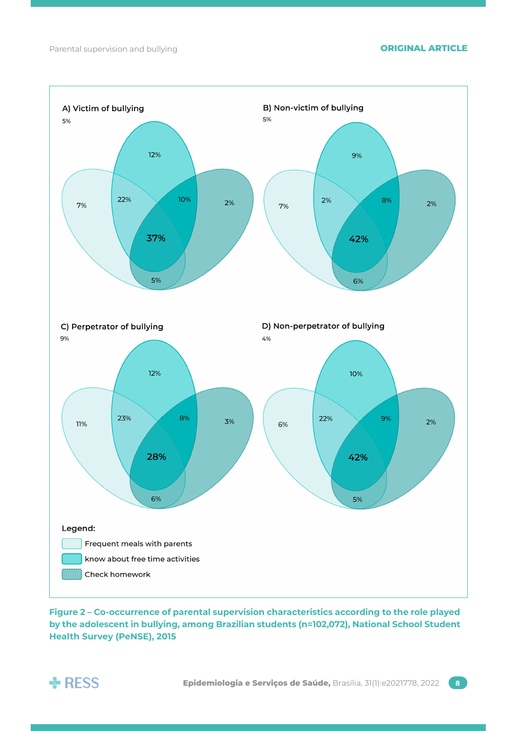

**Figure 2 – Co-occurrence of parental supervision characteristics according to the role played by the adolescent in bullying, among Brazilian students (n=102,072), National School Student Health Survey (PeNSE), 2015** 

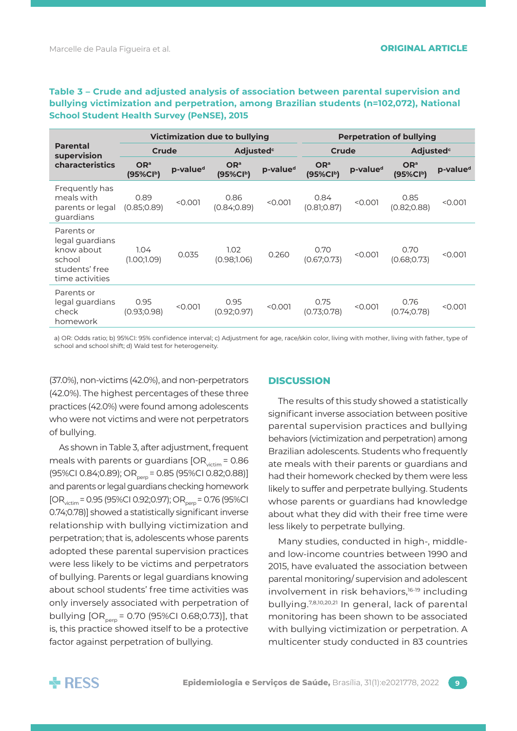**Table 3 – Crude and adjusted analysis of association between parental supervision and bullying victimization and perpetration, among Brazilian students (n=102,072), National School Student Health Survey (PeNSE), 2015** 

|                                                                                            | <b>Victimization due to bullying</b>     |                      |                                | <b>Perpetration of bullying</b> |                             |                      |                                          |                      |
|--------------------------------------------------------------------------------------------|------------------------------------------|----------------------|--------------------------------|---------------------------------|-----------------------------|----------------------|------------------------------------------|----------------------|
| <b>Parental</b><br>supervision<br>characteristics                                          | Crude                                    |                      | <b>Adjusted</b> <sup>c</sup>   |                                 | Crude                       |                      | Adjusted <sup>c</sup>                    |                      |
|                                                                                            | OR <sup>a</sup><br>(95%Cl <sup>b</sup> ) | p-value <sup>d</sup> | OR <sup>a</sup><br>$(95\%CIb)$ | p-value <sup>d</sup>            | OR <sup>a</sup><br>(95%Clb) | p-value <sup>d</sup> | OR <sup>a</sup><br>(95%Cl <sup>b</sup> ) | p-value <sup>d</sup> |
| Frequently has<br>meals with<br>parents or legal<br>guardians                              | 0.89<br>(0.85; 0.89)                     | < 0.001              | 0.86<br>(0.84; 0.89)           | < 0.001                         | 0.84<br>(0.81; 0.87)        | < 0.001              | 0.85<br>(0.82; 0.88)                     | < 0.001              |
| Parents or<br>legal guardians<br>know about<br>school<br>students' free<br>time activities | 1.04<br>(1.00;1.09)                      | 0.035                | 1.02<br>(0.98;1.06)            | 0.260                           | 0.70<br>(0.67:0.73)         | < 0.001              | 0.70<br>(0.68:0.73)                      | < 0.001              |
| Parents or<br>legal guardians<br>check<br>homework                                         | 0.95<br>(0.93; 0.98)                     | < 0.001              | 0.95<br>(0.92; 0.97)           | < 0.001                         | 0.75<br>(0.73; 0.78)        | < 0.001              | 0.76<br>(0.74; 0.78)                     | < 0.001              |

a) OR: Odds ratio; b) 95%CI: 95% confidence interval; c) Adjustment for age, race/skin color, living with mother, living with father, type of school and school shift; d) Wald test for heterogeneity.

(37.0%), non-victims (42.0%), and non-perpetrators (42.0%). The highest percentages of these three practices (42.0%) were found among adolescents who were not victims and were not perpetrators of bullying.

As shown in Table 3, after adjustment, frequent meals with parents or guardians  $[OR_{\text{victim}} = 0.86]$  $(95\%$ CI 0.84;0.89); OR<sub>perp</sub> = 0.85 (95%CI 0.82;0.88)] and parents or legal guardians checking homework  $[OR_{\text{victim}} = 0.95 (95\% CI 0.92; 0.97); OR_{\text{norm}} = 0.76 (95\% CI 0.97)$ 0.74;0.78)] showed a statistically significant inverse relationship with bullying victimization and perpetration; that is, adolescents whose parents adopted these parental supervision practices were less likely to be victims and perpetrators of bullying. Parents or legal guardians knowing about school students' free time activities was only inversely associated with perpetration of bullying  $[OR_{perp} = 0.70$  (95%CI 0.68;0.73)], that is, this practice showed itself to be a protective factor against perpetration of bullying.

### **DISCUSSION**

The results of this study showed a statistically significant inverse association between positive parental supervision practices and bullying behaviors (victimization and perpetration) among Brazilian adolescents. Students who frequently ate meals with their parents or guardians and had their homework checked by them were less likely to suffer and perpetrate bullying. Students whose parents or guardians had knowledge about what they did with their free time were less likely to perpetrate bullying.

Many studies, conducted in high-, middleand low-income countries between 1990 and 2015, have evaluated the association between parental monitoring/ supervision and adolescent involvement in risk behaviors,16-19 including bullying.7,8,10,20,21 In general, lack of parental monitoring has been shown to be associated with bullying victimization or perpetration. A multicenter study conducted in 83 countries

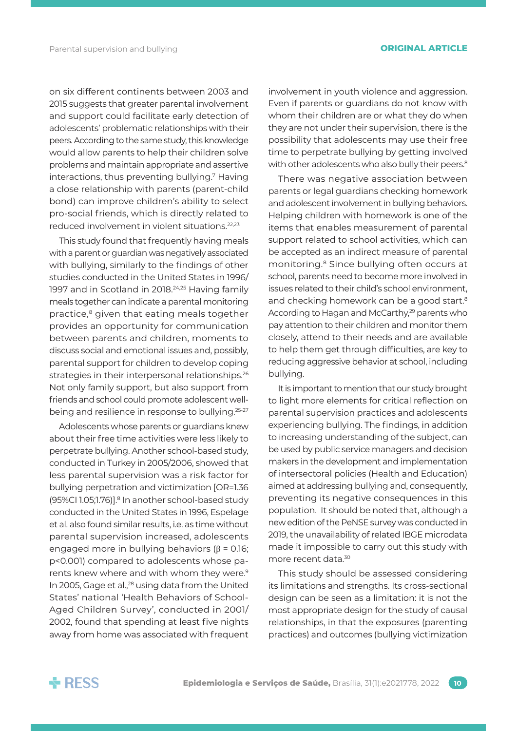on six different continents between 2003 and 2015 suggests that greater parental involvement and support could facilitate early detection of adolescents' problematic relationships with their peers. According to the same study, this knowledge would allow parents to help their children solve problems and maintain appropriate and assertive interactions, thus preventing bullying.7 Having a close relationship with parents (parent-child bond) can improve children's ability to select pro-social friends, which is directly related to reduced involvement in violent situations.22,23

This study found that frequently having meals with a parent or guardian was negatively associated with bullying, similarly to the findings of other studies conducted in the United States in 1996/ 1997 and in Scotland in 2018.<sup>24,25</sup> Having family meals together can indicate a parental monitoring practice,<sup>8</sup> given that eating meals together provides an opportunity for communication between parents and children, moments to discuss social and emotional issues and, possibly, parental support for children to develop coping strategies in their interpersonal relationships.<sup>26</sup> Not only family support, but also support from friends and school could promote adolescent wellbeing and resilience in response to bullying.25-27

Adolescents whose parents or guardians knew about their free time activities were less likely to perpetrate bullying. Another school-based study, conducted in Turkey in 2005/2006, showed that less parental supervision was a risk factor for bullying perpetration and victimization [OR=1.36 (95%CI 1.05;1.76)].<sup>8</sup> In another school-based study conducted in the United States in 1996, Espelage et al. also found similar results, i.e. as time without parental supervision increased, adolescents engaged more in bullying behaviors ( $\beta$  = 0.16; p<0.001) compared to adolescents whose parents knew where and with whom they were.<sup>9</sup> In 2005, Gage et al.,<sup>28</sup> using data from the United States' national 'Health Behaviors of School-Aged Children Survey', conducted in 2001/ 2002, found that spending at least five nights away from home was associated with frequent

involvement in youth violence and aggression. Even if parents or guardians do not know with whom their children are or what they do when they are not under their supervision, there is the possibility that adolescents may use their free time to perpetrate bullying by getting involved with other adolescents who also bully their peers.<sup>8</sup>

There was negative association between parents or legal guardians checking homework and adolescent involvement in bullying behaviors. Helping children with homework is one of the items that enables measurement of parental support related to school activities, which can be accepted as an indirect measure of parental monitoring.8 Since bullying often occurs at school, parents need to become more involved in issues related to their child's school environment, and checking homework can be a good start.<sup>8</sup> According to Hagan and McCarthy,<sup>29</sup> parents who pay attention to their children and monitor them closely, attend to their needs and are available to help them get through difficulties, are key to reducing aggressive behavior at school, including bullying.

It is important to mention that our study brought to light more elements for critical reflection on parental supervision practices and adolescents experiencing bullying. The findings, in addition to increasing understanding of the subject, can be used by public service managers and decision makers in the development and implementation of intersectoral policies (Health and Education) aimed at addressing bullying and, consequently, preventing its negative consequences in this population. It should be noted that, although a new edition of the PeNSE survey was conducted in 2019, the unavailability of related IBGE microdata made it impossible to carry out this study with more recent data.<sup>30</sup>

This study should be assessed considering its limitations and strengths. Its cross-sectional design can be seen as a limitation: it is not the most appropriate design for the study of causal relationships, in that the exposures (parenting practices) and outcomes (bullying victimization

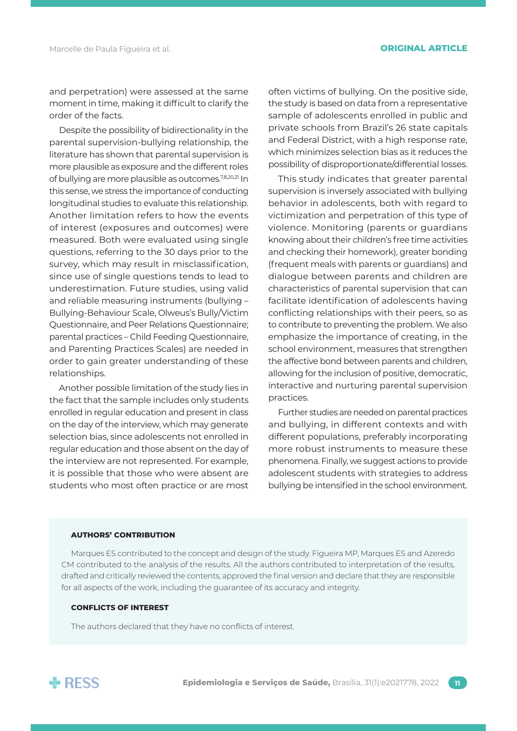and perpetration) were assessed at the same moment in time, making it difficult to clarify the order of the facts.

Despite the possibility of bidirectionality in the parental supervision-bullying relationship, the literature has shown that parental supervision is more plausible as exposure and the different roles of bullying are more plausible as outcomes.<sup>7,8,20,21</sup> In this sense, we stress the importance of conducting longitudinal studies to evaluate this relationship. Another limitation refers to how the events of interest (exposures and outcomes) were measured. Both were evaluated using single questions, referring to the 30 days prior to the survey, which may result in misclassification, since use of single questions tends to lead to underestimation. Future studies, using valid and reliable measuring instruments (bullying – Bullying-Behaviour Scale, Olweus's Bully/Victim Questionnaire, and Peer Relations Questionnaire; parental practices – Child Feeding Questionnaire, and Parenting Practices Scales) are needed in order to gain greater understanding of these relationships.

Another possible limitation of the study lies in the fact that the sample includes only students enrolled in regular education and present in class on the day of the interview, which may generate selection bias, since adolescents not enrolled in regular education and those absent on the day of the interview are not represented. For example, it is possible that those who were absent are students who most often practice or are most often victims of bullying. On the positive side, the study is based on data from a representative sample of adolescents enrolled in public and private schools from Brazil's 26 state capitals and Federal District, with a high response rate, which minimizes selection bias as it reduces the possibility of disproportionate/differential losses.

This study indicates that greater parental supervision is inversely associated with bullying behavior in adolescents, both with regard to victimization and perpetration of this type of violence. Monitoring (parents or guardians knowing about their children's free time activities and checking their homework), greater bonding (frequent meals with parents or guardians) and dialogue between parents and children are characteristics of parental supervision that can facilitate identification of adolescents having conflicting relationships with their peers, so as to contribute to preventing the problem. We also emphasize the importance of creating, in the school environment, measures that strengthen the affective bond between parents and children, allowing for the inclusion of positive, democratic, interactive and nurturing parental supervision practices.

Further studies are needed on parental practices and bullying, in different contexts and with different populations, preferably incorporating more robust instruments to measure these phenomena. Finally, we suggest actions to provide adolescent students with strategies to address bullying be intensified in the school environment.

#### **AUTHORS' CONTRIBUTION**

Marques ES contributed to the concept and design of the study. Figueira MP, Marques ES and Azeredo CM contributed to the analysis of the results. All the authors contributed to interpretation of the results, drafted and critically reviewed the contents, approved the final version and declare that they are responsible for all aspects of the work, including the guarantee of its accuracy and integrity.

#### **CONFLICTS OF INTEREST**

The authors declared that they have no conflicts of interest.

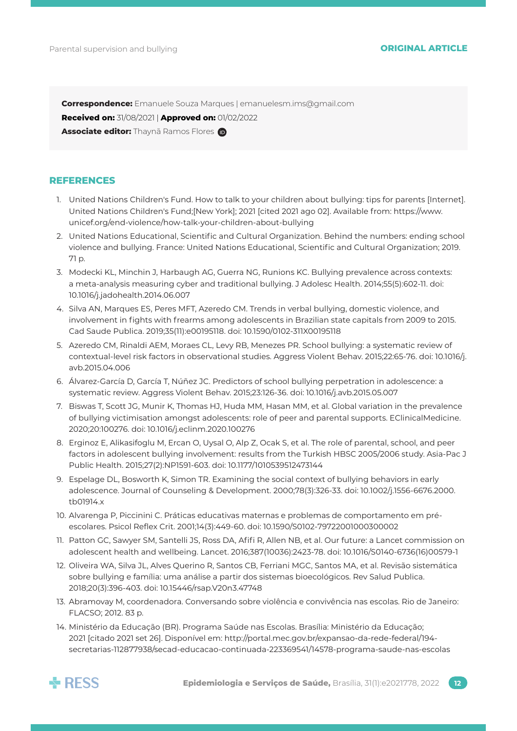**Correspondence:** Emanuele Souza Marques | [emanuelesm.ims@gmail.com](mailto:emanuelesm.ims@gmail.com)

**Received on:** 31/08/2021 | **Approved on:** 01/02/2022

**Associate editor:** Thaynã Ramos Flores **D** 

#### **REFERENCES**

- 1. United Nations Children's Fund. How to talk to your children about bullying: tips for parents [Internet]. United Nations Children's Fund;[New York]; 2021 [cited 2021 ago 02]. Available from: [https://www.](https://www.unicef.org/end-violence/how-talk-your-children-about-bullying) [unicef.org/end-violence/how-talk-your-children-about-bullying](https://www.unicef.org/end-violence/how-talk-your-children-about-bullying)
- 2. United Nations Educational, Scientific and Cultural Organization. Behind the numbers: ending school violence and bullying. France: United Nations Educational, Scientific and Cultural Organization; 2019. 71 p.
- 3. Modecki KL, Minchin J, Harbaugh AG, Guerra NG, Runions KC. Bullying prevalence across contexts: a meta-analysis measuring cyber and traditional bullying. J Adolesc Health. 2014;55(5):602-11. doi: 10.1016/j.jadohealth.2014.06.007
- 4. Silva AN, Marques ES, Peres MFT, Azeredo CM. Trends in verbal bullying, domestic violence, and involvement in fights with frearms among adolescents in Brazilian state capitals from 2009 to 2015. Cad Saude Publica. 2019;35(11):e00195118. doi: 10.1590/0102-311X00195118
- 5. Azeredo CM, Rinaldi AEM, Moraes CL, Levy RB, Menezes PR. School bullying: a systematic review of contextual-level risk factors in observational studies. Aggress Violent Behav. 2015;22:65-76. doi: 10.1016/j. avb.2015.04.006
- 6. Álvarez-García D, García T, Núñez JC. Predictors of school bullying perpetration in adolescence: a systematic review. Aggress Violent Behav. 2015;23:126-36. doi: 10.1016/j.avb.2015.05.007
- 7. Biswas T, Scott JG, Munir K, Thomas HJ, Huda MM, Hasan MM, et al. Global variation in the prevalence of bullying victimisation amongst adolescents: role of peer and parental supports. EClinicalMedicine. 2020;20:100276. doi: 10.1016/j.eclinm.2020.100276
- 8. Erginoz E, Alikasifoglu M, Ercan O, Uysal O, Alp Z, Ocak S, et al. The role of parental, school, and peer factors in adolescent bullying involvement: results from the Turkish HBSC 2005/2006 study. Asia-Pac J Public Health. 2015;27(2):NP1591-603. doi: 10.1177/1010539512473144
- 9. Espelage DL, Bosworth K, Simon TR. Examining the social context of bullying behaviors in early adolescence. Journal of Counseling & Development. 2000;78(3):326-33. doi: 10.1002/j.1556-6676.2000. tb01914.x
- 10. Alvarenga P, Piccinini C. Práticas educativas maternas e problemas de comportamento em préescolares. Psicol Reflex Crit. 2001;14(3):449-60. doi: 10.1590/S0102-79722001000300002
- 11. Patton GC, Sawyer SM, Santelli JS, Ross DA, Afifi R, Allen NB, et al. Our future: a Lancet commission on adolescent health and wellbeing. Lancet. 2016;387(10036):2423-78. doi: 10.1016/S0140-6736(16)00579-1
- 12. Oliveira WA, Silva JL, Alves Querino R, Santos CB, Ferriani MGC, Santos MA, et al. Revisão sistemática sobre bullying e família: uma análise a partir dos sistemas bioecológicos. Rev Salud Publica. 2018;20(3):396-403. doi: 10.15446/rsap.V20n3.47748
- 13. Abramovay M, coordenadora. Conversando sobre violência e convivência nas escolas. Rio de Janeiro: FLACSO; 2012. 83 p.
- 14. Ministério da Educação (BR). Programa Saúde nas Escolas. Brasília: Ministério da Educação; 2021 [citado 2021 set 26]. Disponível em: [http://portal.mec.gov.br/expansao-da-rede-federal/194](http://portal.mec.gov.br/expansao-da-rede-federal/194-secretarias-112877938/secad-educacao-continuada-223369541/14578-programa-saude-nas-escolas) [secretarias-112877938/secad-educacao-continuada-223369541/14578-programa-saude-nas-escolas](http://portal.mec.gov.br/expansao-da-rede-federal/194-secretarias-112877938/secad-educacao-continuada-223369541/14578-programa-saude-nas-escolas)